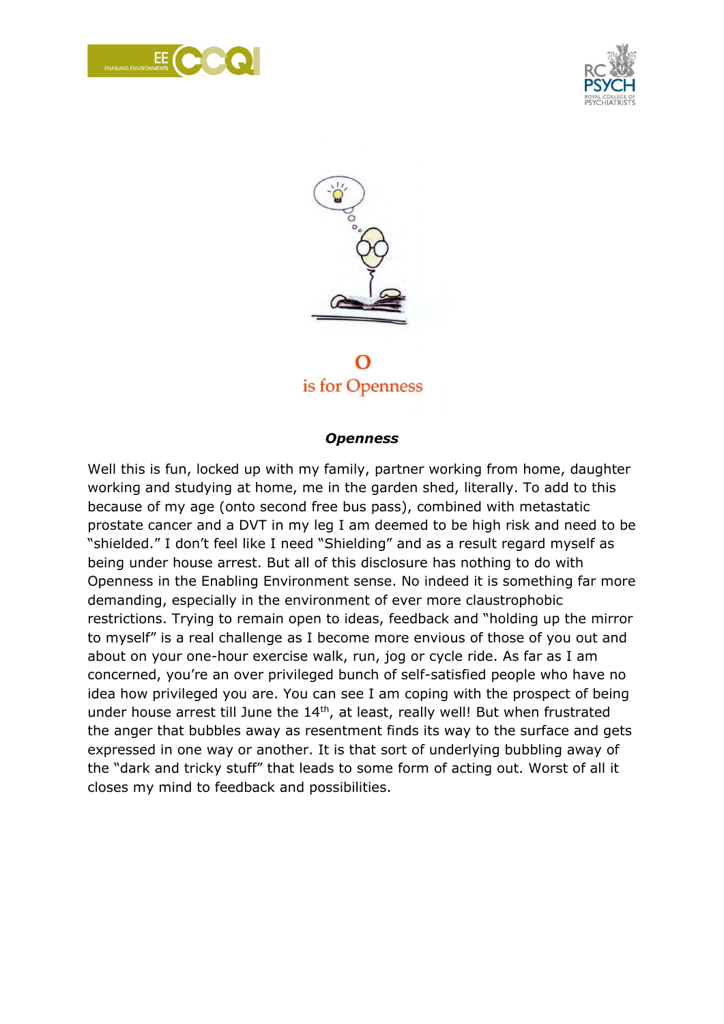





is for Openness

## *Openness*

Well this is fun, locked up with my family, partner working from home, daughter working and studying at home, me in the garden shed, literally. To add to this because of my age (onto second free bus pass), combined with metastatic prostate cancer and a DVT in my leg I am deemed to be high risk and need to be "shielded." I don't feel like I need "Shielding" and as a result regard myself as being under house arrest. But all of this disclosure has nothing to do with Openness in the Enabling Environment sense. No indeed it is something far more demanding, especially in the environment of ever more claustrophobic restrictions. Trying to remain open to ideas, feedback and "holding up the mirror to myself" is a real challenge as I become more envious of those of you out and about on your one-hour exercise walk, run, jog or cycle ride. As far as I am concerned, you're an over privileged bunch of self-satisfied people who have no idea how privileged you are. You can see I am coping with the prospect of being under house arrest till June the  $14<sup>th</sup>$ , at least, really well! But when frustrated the anger that bubbles away as resentment finds its way to the surface and gets expressed in one way or another. It is that sort of underlying bubbling away of the "dark and tricky stuff" that leads to some form of acting out. Worst of all it closes my mind to feedback and possibilities.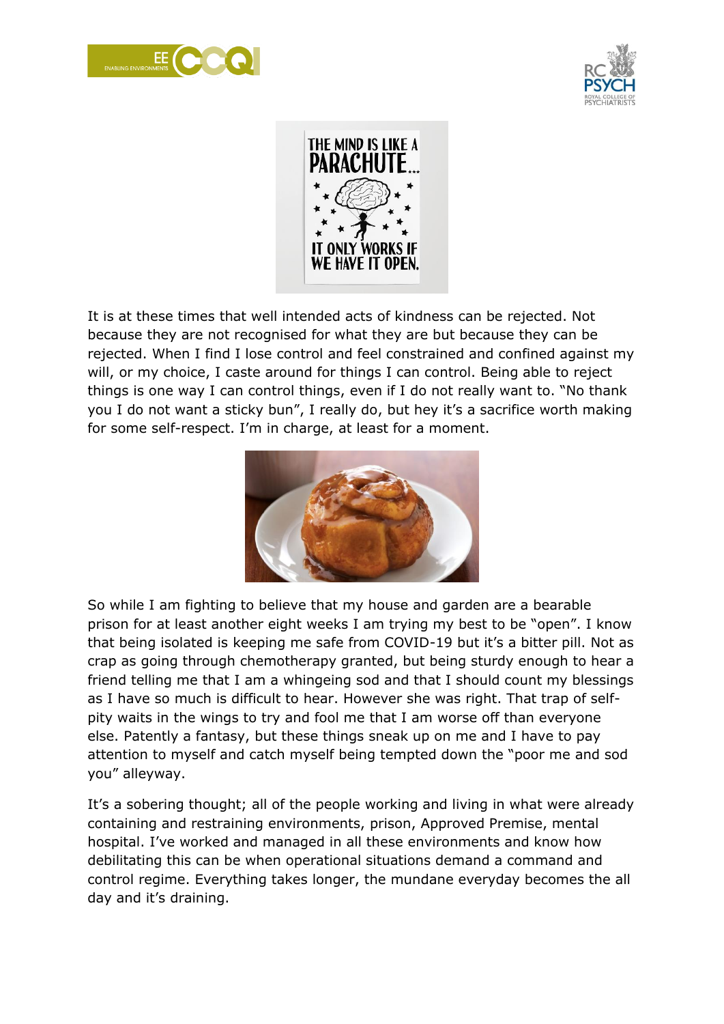





It is at these times that well intended acts of kindness can be rejected. Not because they are not recognised for what they are but because they can be rejected. When I find I lose control and feel constrained and confined against my will, or my choice, I caste around for things I can control. Being able to reject things is one way I can control things, even if I do not really want to. "No thank you I do not want a sticky bun", I really do, but hey it's a sacrifice worth making for some self-respect. I'm in charge, at least for a moment.



So while I am fighting to believe that my house and garden are a bearable prison for at least another eight weeks I am trying my best to be "open". I know that being isolated is keeping me safe from COVID-19 but it's a bitter pill. Not as crap as going through chemotherapy granted, but being sturdy enough to hear a friend telling me that I am a whingeing sod and that I should count my blessings as I have so much is difficult to hear. However she was right. That trap of selfpity waits in the wings to try and fool me that I am worse off than everyone else. Patently a fantasy, but these things sneak up on me and I have to pay attention to myself and catch myself being tempted down the "poor me and sod you" alleyway.

It's a sobering thought; all of the people working and living in what were already containing and restraining environments, prison, Approved Premise, mental hospital. I've worked and managed in all these environments and know how debilitating this can be when operational situations demand a command and control regime. Everything takes longer, the mundane everyday becomes the all day and it's draining.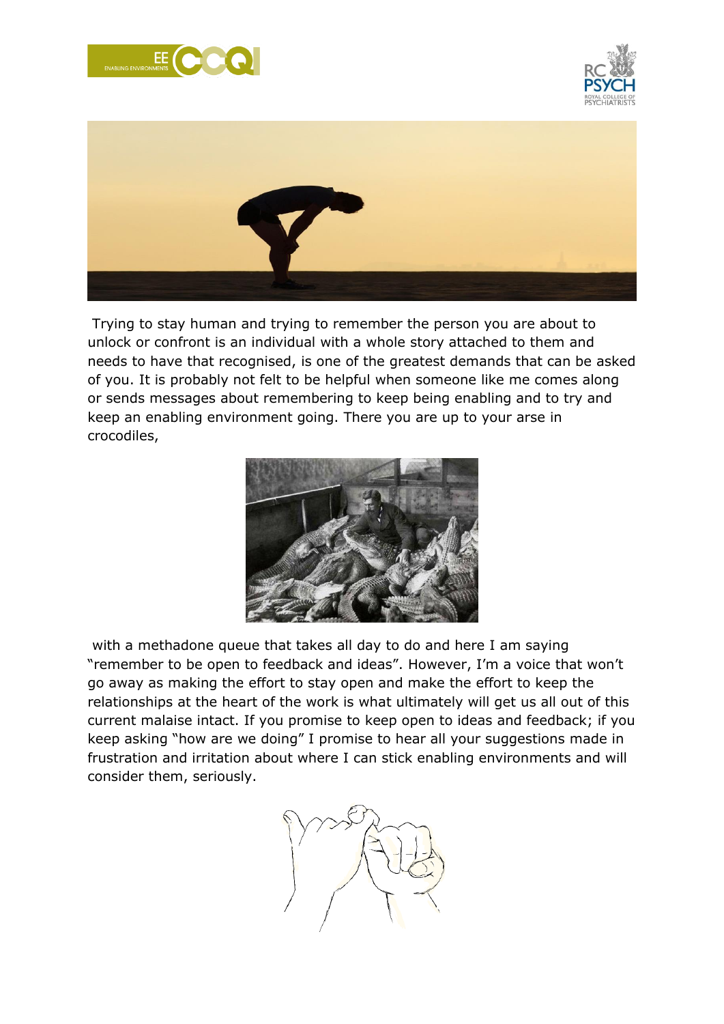





Trying to stay human and trying to remember the person you are about to unlock or confront is an individual with a whole story attached to them and needs to have that recognised, is one of the greatest demands that can be asked of you. It is probably not felt to be helpful when someone like me comes along or sends messages about remembering to keep being enabling and to try and keep an enabling environment going. There you are up to your arse in crocodiles,



with a methadone queue that takes all day to do and here I am saying "remember to be open to feedback and ideas". However, I'm a voice that won't go away as making the effort to stay open and make the effort to keep the relationships at the heart of the work is what ultimately will get us all out of this current malaise intact. If you promise to keep open to ideas and feedback; if you keep asking "how are we doing" I promise to hear all your suggestions made in frustration and irritation about where I can stick enabling environments and will consider them, seriously.